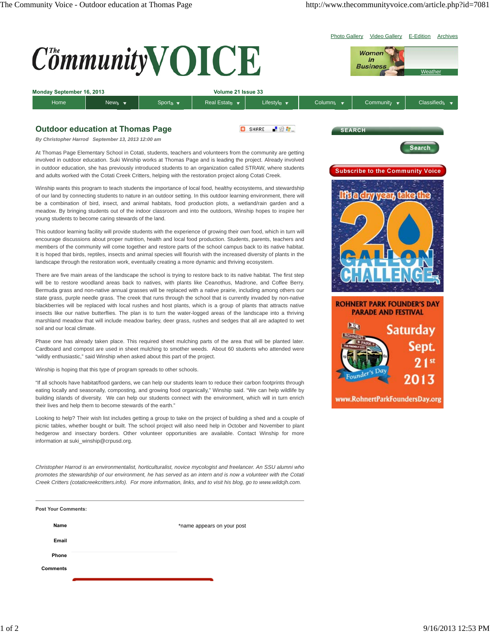